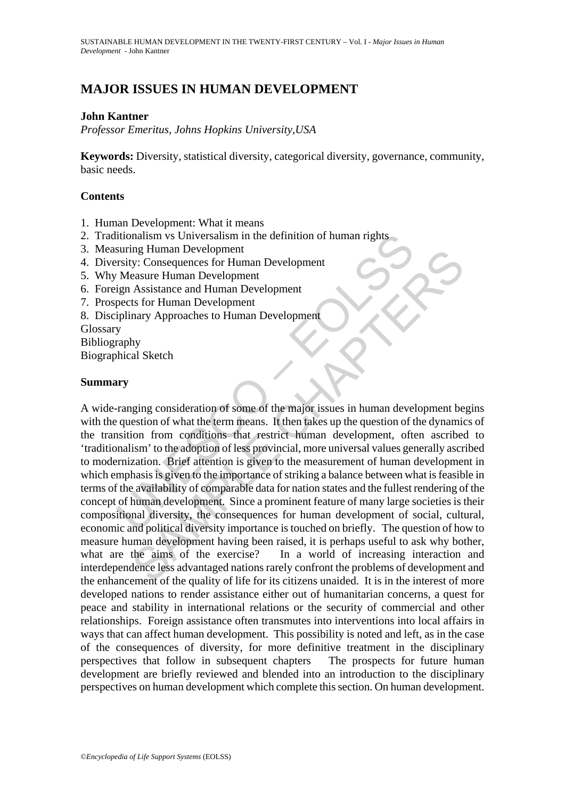# **MAJOR ISSUES IN HUMAN DEVELOPMENT**

# **John Kantner**

*Professor Emeritus, Johns Hopkins University,USA* 

**Keywords:** Diversity, statistical diversity, categorical diversity, governance, community, basic needs.

### **Contents**

- 1. Human Development: What it means
- 2. Traditionalism vs Universalism in the definition of human rights
- 3. Measuring Human Development
- 4. Diversity: Consequences for Human Development
- 5. Why Measure Human Development
- 6. Foreign Assistance and Human Development
- 7. Prospects for Human Development
- 8. Disciplinary Approaches to Human Development
- Glossary
- Bibliography

Biographical Sketch

### **Summary**

itionalism vs Universalism in the definition of human rights<br>
suring Human Development<br>
Tristy: Consequences for Human Development<br>
Measure Human Development<br>
ign Assistance and Human Development<br>
pects for Human Developme my Human Development<br>
Sy: Consequences for Human Development<br>
Assistance and Human Development<br>
Assistance and Human Development<br>
assure Fluman Development<br>
assure Human Development<br>
ary Approaches to Human Development<br>
hy A wide-ranging consideration of some of the major issues in human development begins with the question of what the term means. It then takes up the question of the dynamics of the transition from conditions that restrict human development, often ascribed to 'traditionalism' to the adoption of less provincial, more universal values generally ascribed to modernization. Brief attention is given to the measurement of human development in which emphasis is given to the importance of striking a balance between what is feasible in terms of the availability of comparable data for nation states and the fullest rendering of the concept of human development. Since a prominent feature of many large societies is their compositional diversity, the consequences for human development of social, cultural, economic and political diversity importance is touched on briefly. The question of how to measure human development having been raised, it is perhaps useful to ask why bother, what are the aims of the exercise? In a world of increasing interaction and interdependence less advantaged nations rarely confront the problems of development and the enhancement of the quality of life for its citizens unaided. It is in the interest of more developed nations to render assistance either out of humanitarian concerns, a quest for peace and stability in international relations or the security of commercial and other relationships. Foreign assistance often transmutes into interventions into local affairs in ways that can affect human development. This possibility is noted and left, as in the case of the consequences of diversity, for more definitive treatment in the disciplinary perspectives that follow in subsequent chapters The prospects for future human development are briefly reviewed and blended into an introduction to the disciplinary perspectives on human development which complete this section. On human development.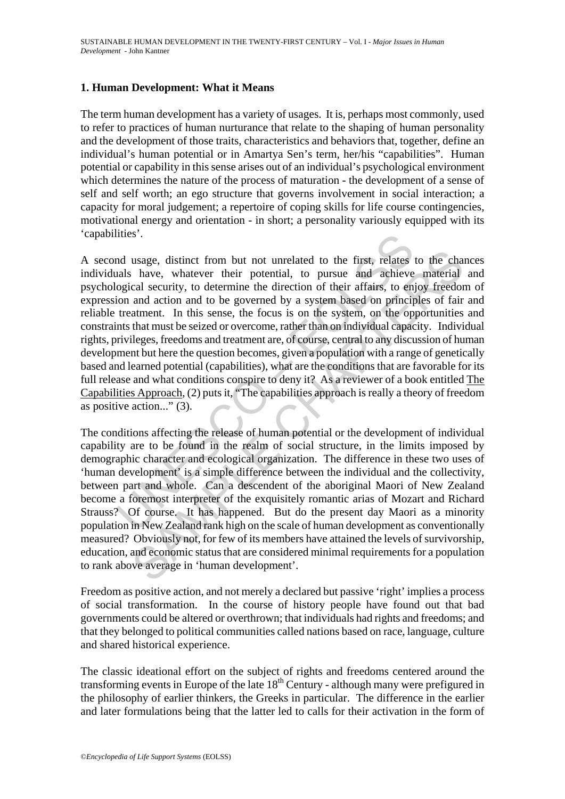# **1. Human Development: What it Means**

The term human development has a variety of usages. It is, perhaps most commonly, used to refer to practices of human nurturance that relate to the shaping of human personality and the development of those traits, characteristics and behaviors that, together, define an individual's human potential or in Amartya Sen's term, her/his "capabilities". Human potential or capability in this sense arises out of an individual's psychological environment which determines the nature of the process of maturation - the development of a sense of self and self worth; an ego structure that governs involvement in social interaction; a capacity for moral judgement; a repertoire of coping skills for life course contingencies, motivational energy and orientation - in short; a personality variously equipped with its 'capabilities'.

Ities .<br>
and usage, distinct from but not unrelated to the first, relates<br>
ands have, whatever their potential, to pursue and achieve<br>
ogical security, to determine the direction of their affairs, to en<br>
ion and action and usage, distinct from but not unrelated to the first, relates to the chandle a lact index a lact in the direction of their affairs, to enjoy freedom and action and to be governed by a system based on principles of fair aff A second usage, distinct from but not unrelated to the first, relates to the chances individuals have, whatever their potential, to pursue and achieve material and psychological security, to determine the direction of their affairs, to enjoy freedom of expression and action and to be governed by a system based on principles of fair and reliable treatment. In this sense, the focus is on the system, on the opportunities and constraints that must be seized or overcome, rather than on individual capacity. Individual rights, privileges, freedoms and treatment are, of course, central to any discussion of human development but here the question becomes, given a population with a range of genetically based and learned potential (capabilities), what are the conditions that are favorable for its full release and what conditions conspire to deny it? As a reviewer of a book entitled The Capabilities Approach, (2) puts it, "The capabilities approach is really a theory of freedom as positive action..." (3).

The conditions affecting the release of human potential or the development of individual capability are to be found in the realm of social structure, in the limits imposed by demographic character and ecological organization. The difference in these two uses of 'human development' is a simple difference between the individual and the collectivity, between part and whole. Can a descendent of the aboriginal Maori of New Zealand become a foremost interpreter of the exquisitely romantic arias of Mozart and Richard Strauss? Of course. It has happened. But do the present day Maori as a minority population in New Zealand rank high on the scale of human development as conventionally measured? Obviously not, for few of its members have attained the levels of survivorship, education, and economic status that are considered minimal requirements for a population to rank above average in 'human development'.

Freedom as positive action, and not merely a declared but passive 'right' implies a process of social transformation. In the course of history people have found out that bad governments could be altered or overthrown; that individuals had rights and freedoms; and that they belonged to political communities called nations based on race, language, culture and shared historical experience.

The classic ideational effort on the subject of rights and freedoms centered around the transforming events in Europe of the late  $18<sup>th</sup>$  Century - although many were prefigured in the philosophy of earlier thinkers, the Greeks in particular. The difference in the earlier and later formulations being that the latter led to calls for their activation in the form of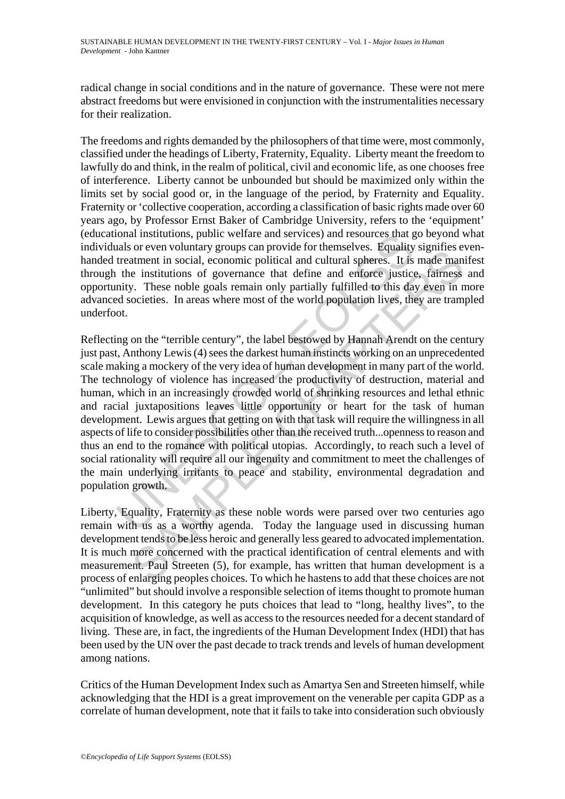radical change in social conditions and in the nature of governance. These were not mere abstract freedoms but were envisioned in conjunction with the instrumentalities necessary for their realization.

The freedoms and rights demanded by the philosophers of that time were, most commonly, classified under the headings of Liberty, Fraternity, Equality. Liberty meant the freedom to lawfully do and think, in the realm of political, civil and economic life, as one chooses free of interference. Liberty cannot be unbounded but should be maximized only within the limits set by social good or, in the language of the period, by Fraternity and Equality. Fraternity or 'collective cooperation, according a classification of basic rights made over 60 years ago, by Professor Ernst Baker of Cambridge University, refers to the 'equipment' (educational institutions, public welfare and services) and resources that go beyond what individuals or even voluntary groups can provide for themselves. Equality signifies evenhanded treatment in social, economic political and cultural spheres. It is made manifest through the institutions of governance that define and enforce justice, fairness and opportunity. These noble goals remain only partially fulfilled to this day even in more advanced societies. In areas where most of the world population lives, they are trampled underfoot.

onal institutions, public welfare and services) and resources that galas or even voluntary groups can provide for themselves. Equality treatment in social, economic political and cultural spheres. It is the institutions of or eventually groups can power on the measurests. Equally signing to the ventual in social, economic political and cultural spheres. It is made man in social, economic political and cultural spheres. It is made man in coi Reflecting on the "terrible century", the label bestowed by Hannah Arendt on the century just past, Anthony Lewis (4) sees the darkest human instincts working on an unprecedented scale making a mockery of the very idea of human development in many part of the world. The technology of violence has increased the productivity of destruction, material and human, which in an increasingly crowded world of shrinking resources and lethal ethnic and racial juxtapositions leaves little opportunity or heart for the task of human development. Lewis argues that getting on with that task will require the willingness in all aspects of life to consider possibilities other than the received truth...openness to reason and thus an end to the romance with political utopias. Accordingly, to reach such a level of social rationality will require all our ingenuity and commitment to meet the challenges of the main underlying irritants to peace and stability, environmental degradation and population growth.

Liberty, Equality, Fraternity as these noble words were parsed over two centuries ago remain with us as a worthy agenda. Today the language used in discussing human development tends to be less heroic and generally less geared to advocated implementation. It is much more concerned with the practical identification of central elements and with measurement. Paul Streeten (5), for example, has written that human development is a process of enlarging peoples choices. To which he hastens to add that these choices are not "unlimited" but should involve a responsible selection of items thought to promote human development. In this category he puts choices that lead to "long, healthy lives", to the acquisition of knowledge, as well as access to the resources needed for a decent standard of living. These are, in fact, the ingredients of the Human Development Index (HDI) that has been used by the UN over the past decade to track trends and levels of human development among nations.

Critics of the Human Development Index such as Amartya Sen and Streeten himself, while acknowledging that the HDI is a great improvement on the venerable per capita GDP as a correlate of human development, note that it fails to take into consideration such obviously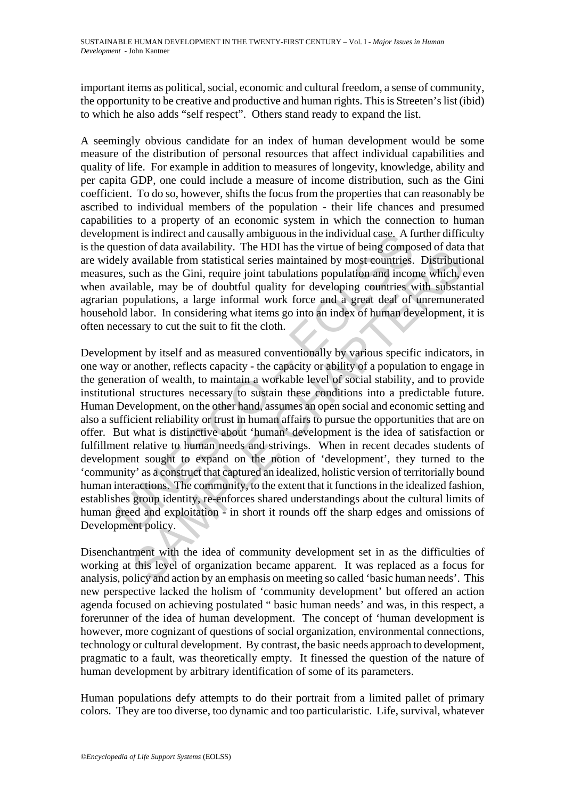important items as political, social, economic and cultural freedom, a sense of community, the opportunity to be creative and productive and human rights. This is Streeten's list (ibid) to which he also adds "self respect". Others stand ready to expand the list.

A seemingly obvious candidate for an index of human development would be some measure of the distribution of personal resources that affect individual capabilities and quality of life. For example in addition to measures of longevity, knowledge, ability and per capita GDP, one could include a measure of income distribution, such as the Gini coefficient. To do so, however, shifts the focus from the properties that can reasonably be ascribed to individual members of the population - their life chances and presumed capabilities to a property of an economic system in which the connection to human development is indirect and causally ambiguous in the individual case. A further difficulty is the question of data availability. The HDI has the virtue of being composed of data that are widely available from statistical series maintained by most countries. Distributional measures, such as the Gini, require joint tabulations population and income which, even when available, may be of doubtful quality for developing countries with substantial agrarian populations, a large informal work force and a great deal of unremunerated household labor. In considering what items go into an index of human development, it is often necessary to cut the suit to fit the cloth.

ment is indirect and causally ambiguous in the individual case. A reastion of data availability. The HDI has the virtue of being composes, such as the Gini, require joint tabulations population and incovailable, may be of notion dara available from statistical series maintained by most countries. Distribution and available from statistical series maintained by most countries. Distribution and income which, a large informal work force and a Development by itself and as measured conventionally by various specific indicators, in one way or another, reflects capacity - the capacity or ability of a population to engage in the generation of wealth, to maintain a workable level of social stability, and to provide institutional structures necessary to sustain these conditions into a predictable future. Human Development, on the other hand, assumes an open social and economic setting and also a sufficient reliability or trust in human affairs to pursue the opportunities that are on offer. But what is distinctive about 'human' development is the idea of satisfaction or fulfillment relative to human needs and strivings. When in recent decades students of development sought to expand on the notion of 'development', they turned to the 'community' as a construct that captured an idealized, holistic version of territorially bound human interactions. The community, to the extent that it functions in the idealized fashion, establishes group identity, re-enforces shared understandings about the cultural limits of human greed and exploitation - in short it rounds off the sharp edges and omissions of Development policy.

Disenchantment with the idea of community development set in as the difficulties of working at this level of organization became apparent. It was replaced as a focus for analysis, policy and action by an emphasis on meeting so called 'basic human needs'. This new perspective lacked the holism of 'community development' but offered an action agenda focused on achieving postulated " basic human needs' and was, in this respect, a forerunner of the idea of human development. The concept of 'human development is however, more cognizant of questions of social organization, environmental connections, technology or cultural development. By contrast, the basic needs approach to development, pragmatic to a fault, was theoretically empty. It finessed the question of the nature of human development by arbitrary identification of some of its parameters.

Human populations defy attempts to do their portrait from a limited pallet of primary colors. They are too diverse, too dynamic and too particularistic. Life, survival, whatever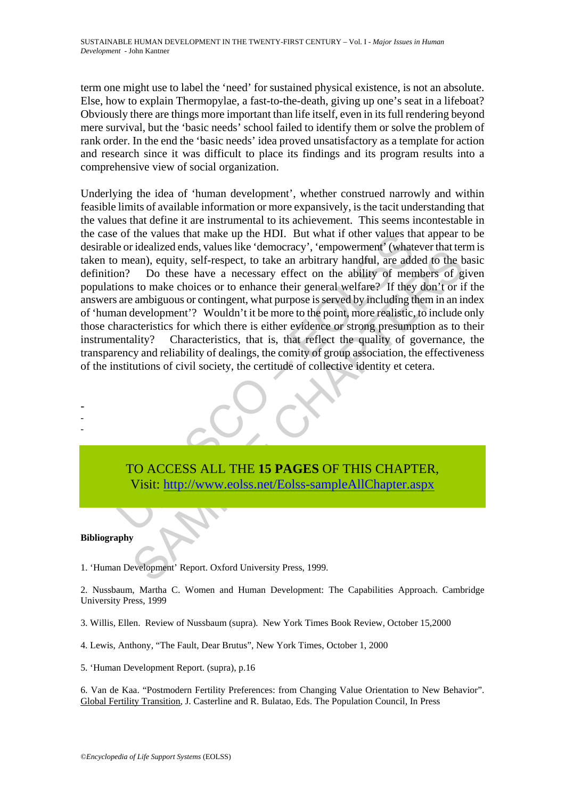term one might use to label the 'need' for sustained physical existence, is not an absolute. Else, how to explain Thermopylae, a fast-to-the-death, giving up one's seat in a lifeboat? Obviously there are things more important than life itself, even in its full rendering beyond mere survival, but the 'basic needs' school failed to identify them or solve the problem of rank order. In the end the 'basic needs' idea proved unsatisfactory as a template for action and research since it was difficult to place its findings and its program results into a comprehensive view of social organization.

of the values that make up the HDI. But what if other values the cridealized ends, values like 'democracy', 'empowermen' (what is no mean), equity, self-respect, to take an arbitrary handful, are add nn? Do these have a ne netazionials, values internatively, cupyovement (waterwise that current contains)<br>can), equity, self-respect, to take an arbitrary handful, are added to the<br>Do these have a necessary effect on the ability of members of g<br>t Underlying the idea of 'human development', whether construed narrowly and within feasible limits of available information or more expansively, is the tacit understanding that the values that define it are instrumental to its achievement. This seems incontestable in the case of the values that make up the HDI. But what if other values that appear to be desirable or idealized ends, values like 'democracy', 'empowerment' (whatever that term is taken to mean), equity, self-respect, to take an arbitrary handful, are added to the basic definition? Do these have a necessary effect on the ability of members of given populations to make choices or to enhance their general welfare? If they don't or if the answers are ambiguous or contingent, what purpose is served by including them in an index of 'human development'? Wouldn't it be more to the point, more realistic, to include only those characteristics for which there is either evidence or strong presumption as to their instrumentality? Characteristics, that is, that reflect the quality of governance, the transparency and reliability of dealings, the comity of group association, the effectiveness of the institutions of civil society, the certitude of collective identity et cetera.



TO ACCESS ALL THE **15 PAGES** OF THIS CHAPTER, Visit: http://www.eolss.net/Eolss-sampleAllChapter.aspx

#### **Bibliography**

1. 'Human Development' Report. Oxford University Press, 1999.

2. Nussbaum, Martha C. Women and Human Development: The Capabilities Approach. Cambridge University Press, 1999

3. Willis, Ellen. Review of Nussbaum (supra). New York Times Book Review, October 15,2000

4. Lewis, Anthony, "The Fault, Dear Brutus", New York Times, October 1, 2000

5. 'Human Development Report. (supra), p.16

6. Van de Kaa. "Postmodern Fertility Preferences: from Changing Value Orientation to New Behavior". Global Fertility Transition, J. Casterline and R. Bulatao, Eds. The Population Council, In Press